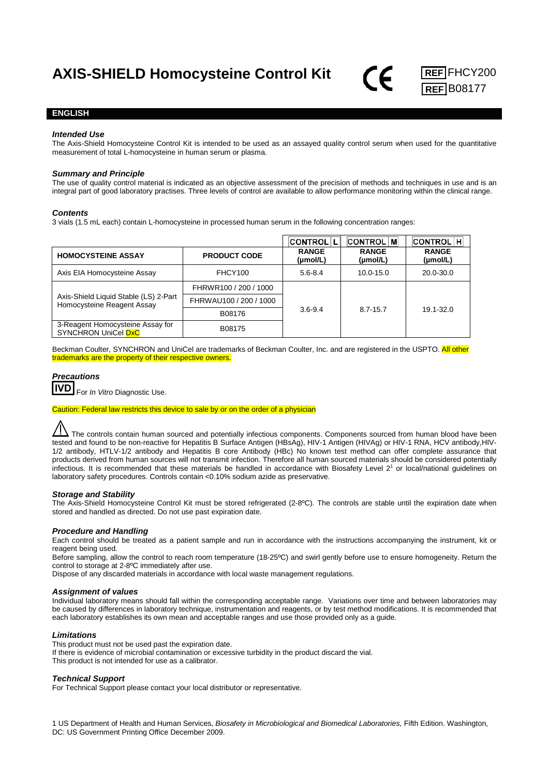

## **ENGLISH**

### *Intended Use*

The Axis-Shield Homocysteine Control Kit is intended to be used as an assayed quality control serum when used for the quantitative measurement of total L-homocysteine in human serum or plasma.

## *Summary and Principle*

The use of quality control material is indicated as an objective assessment of the precision of methods and techniques in use and is an integral part of good laboratory practises. Three levels of control are available to allow performance monitoring within the clinical range.

#### *Contents*

3 vials (1.5 mL each) contain L-homocysteine in processed human serum in the following concentration ranges:

|                                                                                                                                |                        | <b>CONTROL LI</b>        | <b>CONTROL MI</b>        | <b>CONTROL H</b>         |
|--------------------------------------------------------------------------------------------------------------------------------|------------------------|--------------------------|--------------------------|--------------------------|
| <b>HOMOCYSTEINE ASSAY</b>                                                                                                      | <b>PRODUCT CODE</b>    | <b>RANGE</b><br>(µmol/L) | <b>RANGE</b><br>(µmol/L) | <b>RANGE</b><br>(µmol/L) |
| Axis EIA Homocysteine Assay                                                                                                    | FHCY100                | $5.6 - 8.4$              | $10.0 - 15.0$            | 20.0-30.0                |
| Axis-Shield Liquid Stable (LS) 2-Part<br>Homocysteine Reagent Assay<br>3-Reagent Homocysteine Assay for<br>SYNCHRON UniCel DxC | FHRWR100 / 200 / 1000  | $3.6 - 9.4$              | $8.7 - 15.7$             | 19.1-32.0                |
|                                                                                                                                | FHRWAU100 / 200 / 1000 |                          |                          |                          |
|                                                                                                                                | B08176                 |                          |                          |                          |
|                                                                                                                                | B08175                 |                          |                          |                          |

Beckman Coulter, SYNCHRON and UniCel are trademarks of Beckman Coulter, Inc. and are registered in the USPTO. All other trademarks are the property of their respective owners.

# *Precautions* For *In Vitro* Diagnostic Use.

Caution: Federal law restricts this device to sale by or on the order of a physician

 $\Lambda$  The controls contain human sourced and potentially infectious components. Components sourced from human blood have been tested and found to be non-reactive for Hepatitis B Surface Antigen (HBsAg), HIV-1 Antigen (HIVAg) or HIV-1 RNA, HCV antibody,HIV-1/2 antibody, HTLV-1/2 antibody and Hepatitis B core Antibody (HBc) No known test method can offer complete assurance that products derived from human sources will not transmit infection. Therefore all human sourced materials should be considered potentially infectious. It is recommended that these materials be handled in accordance with Biosafety Level 21 or local/national guidelines on laboratory safety procedures. Controls contain <0.10% sodium azide as preservative.

### *Storage and Stability*

The Axis-Shield Homocysteine Control Kit must be stored refrigerated (2-8ºC). The controls are stable until the expiration date when stored and handled as directed. Do not use past expiration date.

### *Procedure and Handling*

Each control should be treated as a patient sample and run in accordance with the instructions accompanying the instrument, kit or reagent being used.

Before sampling, allow the control to reach room temperature (18-25ºC) and swirl gently before use to ensure homogeneity. Return the control to storage at 2-8ºC immediately after use.

Dispose of any discarded materials in accordance with local waste management regulations.

### *Assignment of values*

Individual laboratory means should fall within the corresponding acceptable range. Variations over time and between laboratories may be caused by differences in laboratory technique, instrumentation and reagents, or by test method modifications. It is recommended that each laboratory establishes its own mean and acceptable ranges and use those provided only as a guide.

### *Limitations*

This product must not be used past the expiration date.

If there is evidence of microbial contamination or excessive turbidity in the product discard the vial. This product is not intended for use as a calibrator.

### *Technical Support*

For Technical Support please contact your local distributor or representative.

1 US Department of Health and Human Services, *Biosafety in Microbiological and Biomedical Laboratories,* Fifth Edition. Washington, DC: US Government Printing Office December 2009.